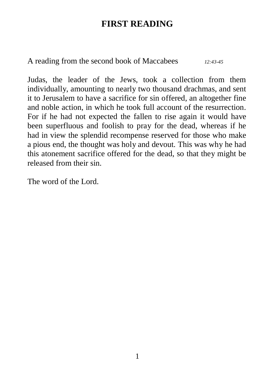A reading from the second book of Maccabees *12:43-45*

Judas, the leader of the Jews, took a collection from them individually, amounting to nearly two thousand drachmas, and sent it to Jerusalem to have a sacrifice for sin offered, an altogether fine and noble action, in which he took full account of the resurrection. For if he had not expected the fallen to rise again it would have been superfluous and foolish to pray for the dead, whereas if he had in view the splendid recompense reserved for those who make a pious end, the thought was holy and devout. This was why he had this atonement sacrifice offered for the dead, so that they might be released from their sin.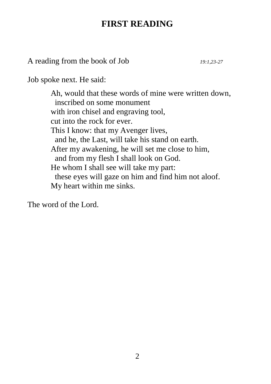A reading from the book of Job *19:1,23-27*

Job spoke next. He said:

Ah, would that these words of mine were written down, inscribed on some monument with iron chisel and engraving tool, cut into the rock for ever. This I know: that my Avenger lives, and he, the Last, will take his stand on earth. After my awakening, he will set me close to him, and from my flesh I shall look on God. He whom I shall see will take my part: these eyes will gaze on him and find him not aloof. My heart within me sinks.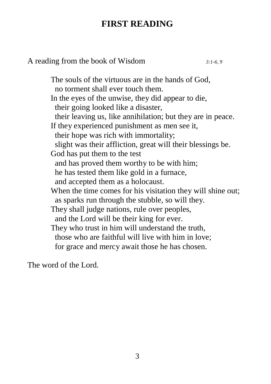A reading from the book of Wisdom *3:1-6, 9*

The souls of the virtuous are in the hands of God, no torment shall ever touch them. In the eyes of the unwise, they did appear to die, their going looked like a disaster, their leaving us, like annihilation; but they are in peace. If they experienced punishment as men see it, their hope was rich with immortality; slight was their affliction, great will their blessings be. God has put them to the test and has proved them worthy to be with him; he has tested them like gold in a furnace, and accepted them as a holocaust. When the time comes for his visitation they will shine out; as sparks run through the stubble, so will they. They shall judge nations, rule over peoples, and the Lord will be their king for ever. They who trust in him will understand the truth, those who are faithful will live with him in love; for grace and mercy await those he has chosen.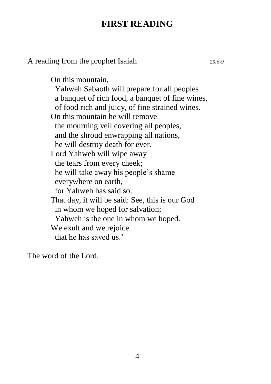### A reading from the prophet Isaiah *25:6-9*

On this mountain, Yahweh Sabaoth will prepare for all peoples a banquet of rich food, a banquet of fine wines, of food rich and juicy, of fine strained wines. On this mountain he will remove the mourning veil covering all peoples, and the shroud enwrapping all nations, he will destroy death for ever. Lord Yahweh will wipe away the tears from every cheek; he will take away his people's shame everywhere on earth, for Yahweh has said so. That day, it will be said: See, this is our God in whom we hoped for salvation; Yahweh is the one in whom we hoped. We exult and we rejoice that he has saved us.'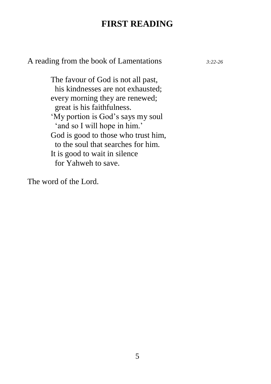A reading from the book of Lamentations *3:22-26*

The favour of God is not all past, his kindnesses are not exhausted; every morning they are renewed; great is his faithfulness. 'My portion is God's says my soul 'and so I will hope in him.' God is good to those who trust him, to the soul that searches for him. It is good to wait in silence for Yahweh to save.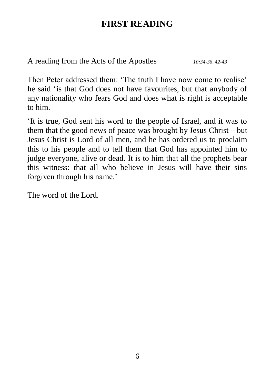A reading from the Acts of the Apostles *10:34-36, 42-43*

Then Peter addressed them: 'The truth I have now come to realise' he said 'is that God does not have favourites, but that anybody of any nationality who fears God and does what is right is acceptable to him.

'It is true, God sent his word to the people of Israel, and it was to them that the good news of peace was brought by Jesus Christ—but Jesus Christ is Lord of all men, and he has ordered us to proclaim this to his people and to tell them that God has appointed him to judge everyone, alive or dead. It is to him that all the prophets bear this witness: that all who believe in Jesus will have their sins forgiven through his name.'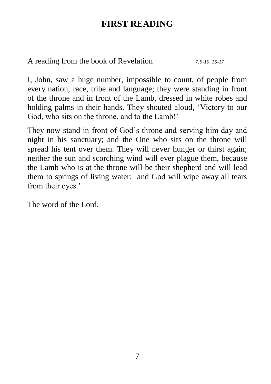A reading from the book of Revelation *7:9-10, 15-17*

I, John, saw a huge number, impossible to count, of people from every nation, race, tribe and language; they were standing in front of the throne and in front of the Lamb, dressed in white robes and holding palms in their hands. They shouted aloud, 'Victory to our God, who sits on the throne, and to the Lamb!'

They now stand in front of God's throne and serving him day and night in his sanctuary; and the One who sits on the throne will spread his tent over them. They will never hunger or thirst again; neither the sun and scorching wind will ever plague them, because the Lamb who is at the throne will be their shepherd and will lead them to springs of living water; and God will wipe away all tears from their eyes.'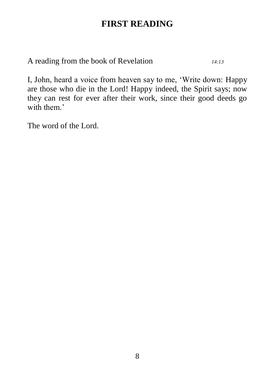A reading from the book of Revelation *14:13*

I, John, heard a voice from heaven say to me, 'Write down: Happy are those who die in the Lord! Happy indeed, the Spirit says; now they can rest for ever after their work, since their good deeds go with them.'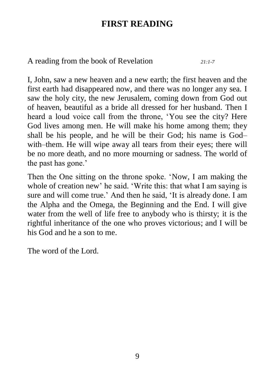A reading from the book of Revelation *21:1-7*

I, John, saw a new heaven and a new earth; the first heaven and the first earth had disappeared now, and there was no longer any sea. I saw the holy city, the new Jerusalem, coming down from God out of heaven, beautiful as a bride all dressed for her husband. Then I heard a loud voice call from the throne, 'You see the city? Here God lives among men. He will make his home among them; they shall be his people, and he will be their God; his name is God– with–them. He will wipe away all tears from their eyes; there will be no more death, and no more mourning or sadness. The world of the past has gone.'

Then the One sitting on the throne spoke. 'Now, I am making the whole of creation new' he said. 'Write this: that what I am saying is sure and will come true.' And then he said, 'It is already done. I am the Alpha and the Omega, the Beginning and the End. I will give water from the well of life free to anybody who is thirsty; it is the rightful inheritance of the one who proves victorious; and I will be his God and he a son to me.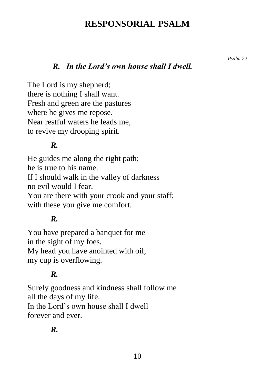*Psalm 22*

### *R.**In the Lord's own house shall I dwell.*

The Lord is my shepherd; there is nothing I shall want. Fresh and green are the pastures where he gives me repose. Near restful waters he leads me, to revive my drooping spirit.

# *R.*

He guides me along the right path; he is true to his name. If I should walk in the valley of darkness no evil would I fear. You are there with your crook and your staff; with these you give me comfort.

### *R.*

You have prepared a banquet for me in the sight of my foes. My head you have anointed with oil; my cup is overflowing.

### *R.*

Surely goodness and kindness shall follow me all the days of my life. In the Lord's own house shall I dwell forever and ever.

### *R.*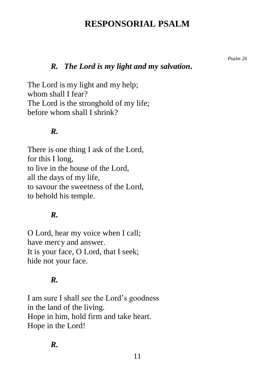*Psalm 26*

### *R.**The Lord is my light and my salvation***.**

The Lord is my light and my help; whom shall I fear? The Lord is the stronghold of my life; before whom shall I shrink?

### *R.*

There is one thing I ask of the Lord, for this I long, to live in the house of the Lord, all the days of my life, to savour the sweetness of the Lord, to behold his temple.

### *R.*

O Lord, hear my voice when I call; have mercy and answer. It is your face, O Lord, that I seek; hide not your face.

### *R.*

I am sure I shall see the Lord's goodness in the land of the living. Hope in him, hold firm and take heart. Hope in the Lord!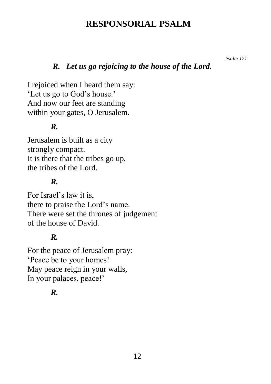*Psalm 121*

### *R.**Let us go rejoicing to the house of the Lord.*

I rejoiced when I heard them say: 'Let us go to God's house.' And now our feet are standing within your gates, O Jerusalem.

### *R.*

Jerusalem is built as a city strongly compact. It is there that the tribes go up, the tribes of the Lord.

### *R.*

For Israel's law it is, there to praise the Lord's name. There were set the thrones of judgement of the house of David.

### *R.*

For the peace of Jerusalem pray: 'Peace be to your homes! May peace reign in your walls, In your palaces, peace!'

#### *R.*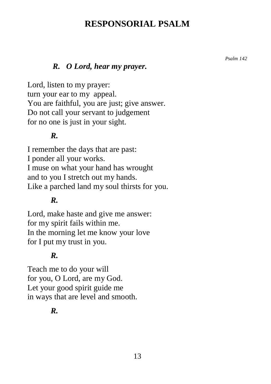*Psalm 142*

### *R.**O Lord, hear my prayer.*

Lord, listen to my prayer: turn your ear to my appeal. You are faithful, you are just; give answer. Do not call your servant to judgement for no one is just in your sight.

### *R.*

I remember the days that are past: I ponder all your works. I muse on what your hand has wrought and to you I stretch out my hands. Like a parched land my soul thirsts for you.

### *R.*

Lord, make haste and give me answer: for my spirit fails within me. In the morning let me know your love for I put my trust in you.

### *R.*

Teach me to do your will for you, O Lord, are my God. Let your good spirit guide me in ways that are level and smooth.

#### *R.*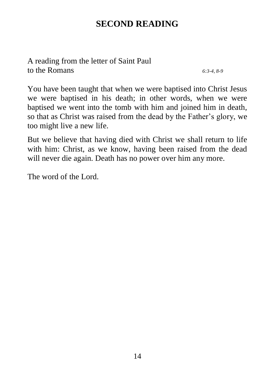A reading from the letter of Saint Paul to the Romans *6:3-4, 8-9*

You have been taught that when we were baptised into Christ Jesus we were baptised in his death; in other words, when we were baptised we went into the tomb with him and joined him in death, so that as Christ was raised from the dead by the Father's glory, we too might live a new life.

But we believe that having died with Christ we shall return to life with him: Christ, as we know, having been raised from the dead will never die again. Death has no power over him any more.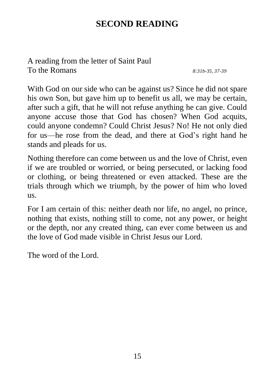A reading from the letter of Saint Paul To the Romans *8:31b-35, 37-39*

With God on our side who can be against us? Since he did not spare his own Son, but gave him up to benefit us all, we may be certain, after such a gift, that he will not refuse anything he can give. Could anyone accuse those that God has chosen? When God acquits, could anyone condemn? Could Christ Jesus? No! He not only died for us—he rose from the dead, and there at God's right hand he stands and pleads for us.

Nothing therefore can come between us and the love of Christ, even if we are troubled or worried, or being persecuted, or lacking food or clothing, or being threatened or even attacked. These are the trials through which we triumph, by the power of him who loved us.

For I am certain of this: neither death nor life, no angel, no prince, nothing that exists, nothing still to come, not any power, or height or the depth, nor any created thing, can ever come between us and the love of God made visible in Christ Jesus our Lord.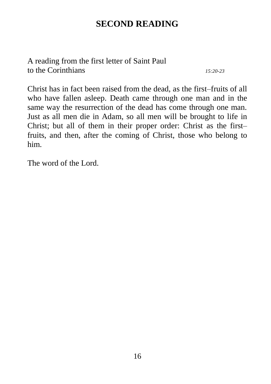A reading from the first letter of Saint Paul to the Corinthians *15:20-23*

Christ has in fact been raised from the dead, as the first–fruits of all who have fallen asleep. Death came through one man and in the same way the resurrection of the dead has come through one man. Just as all men die in Adam, so all men will be brought to life in Christ; but all of them in their proper order: Christ as the first– fruits, and then, after the coming of Christ, those who belong to him.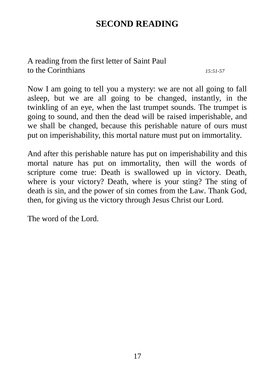A reading from the first letter of Saint Paul to the Corinthians *15:51-57*

Now I am going to tell you a mystery: we are not all going to fall asleep, but we are all going to be changed, instantly, in the twinkling of an eye, when the last trumpet sounds. The trumpet is going to sound, and then the dead will be raised imperishable, and we shall be changed, because this perishable nature of ours must put on imperishability, this mortal nature must put on immortality.

And after this perishable nature has put on imperishability and this mortal nature has put on immortality, then will the words of scripture come true: Death is swallowed up in victory. Death, where is your victory? Death, where is your sting? The sting of death is sin, and the power of sin comes from the Law. Thank God, then, for giving us the victory through Jesus Christ our Lord.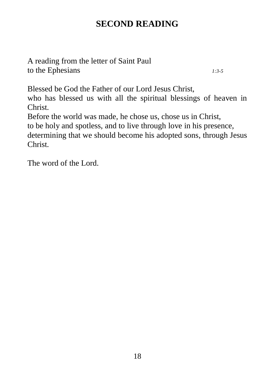A reading from the letter of Saint Paul to the Ephesians *1:3-5*

Blessed be God the Father of our Lord Jesus Christ,

who has blessed us with all the spiritual blessings of heaven in Christ.

Before the world was made, he chose us, chose us in Christ, to be holy and spotless, and to live through love in his presence, determining that we should become his adopted sons, through Jesus Christ.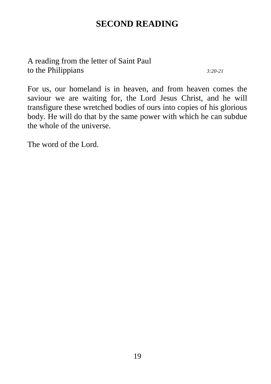A reading from the letter of Saint Paul to the Philippians *3:20-21*

For us, our homeland is in heaven, and from heaven comes the saviour we are waiting for, the Lord Jesus Christ, and he will transfigure these wretched bodies of ours into copies of his glorious body. He will do that by the same power with which he can subdue the whole of the universe.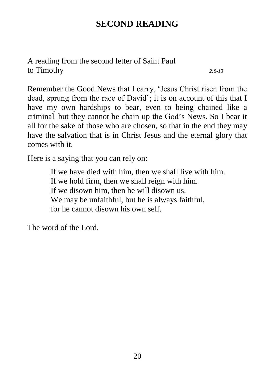A reading from the second letter of Saint Paul to Timothy *2:8-13*

Remember the Good News that I carry, 'Jesus Christ risen from the dead, sprung from the race of David'; it is on account of this that I have my own hardships to bear, even to being chained like a criminal–but they cannot be chain up the God's News. So I bear it all for the sake of those who are chosen, so that in the end they may have the salvation that is in Christ Jesus and the eternal glory that comes with it.

Here is a saying that you can rely on:

If we have died with him, then we shall live with him. If we hold firm, then we shall reign with him. If we disown him, then he will disown us. We may be unfaithful, but he is always faithful. for he cannot disown his own self.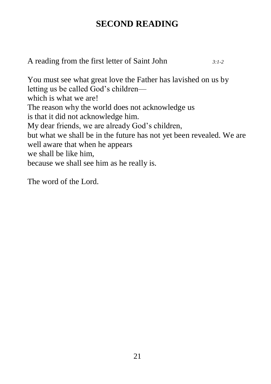A reading from the first letter of Saint John *3:1-2* You must see what great love the Father has lavished on us by letting us be called God's children which is what we are! The reason why the world does not acknowledge us is that it did not acknowledge him. My dear friends, we are already God's children, but what we shall be in the future has not yet been revealed. We are well aware that when he appears we shall be like him, because we shall see him as he really is.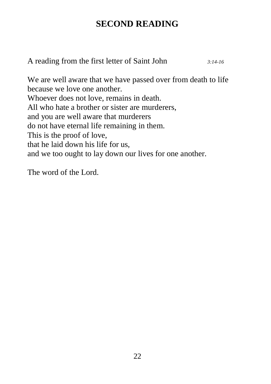| A reading from the first letter of Saint John | $3:14-16$ |
|-----------------------------------------------|-----------|
|-----------------------------------------------|-----------|

We are well aware that we have passed over from death to life because we love one another. Whoever does not love, remains in death. All who hate a brother or sister are murderers, and you are well aware that murderers do not have eternal life remaining in them. This is the proof of love, that he laid down his life for us, and we too ought to lay down our lives for one another.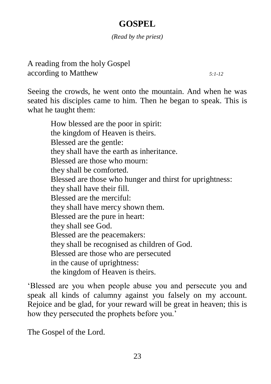*(Read by the priest)*

A reading from the holy Gospel according to Matthew *5:1-12*

Seeing the crowds, he went onto the mountain. And when he was seated his disciples came to him. Then he began to speak. This is what he taught them:

> How blessed are the poor in spirit: the kingdom of Heaven is theirs. Blessed are the gentle: they shall have the earth as inheritance. Blessed are those who mourn: they shall be comforted. Blessed are those who hunger and thirst for uprightness: they shall have their fill. Blessed are the merciful: they shall have mercy shown them. Blessed are the pure in heart: they shall see God. Blessed are the peacemakers: they shall be recognised as children of God. Blessed are those who are persecuted in the cause of uprightness: the kingdom of Heaven is theirs.

'Blessed are you when people abuse you and persecute you and speak all kinds of calumny against you falsely on my account. Rejoice and be glad, for your reward will be great in heaven; this is how they persecuted the prophets before you.'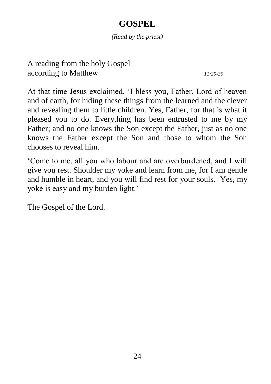*(Read by the priest)*

A reading from the holy Gospel according to Matthew *11:25-30*

At that time Jesus exclaimed, 'I bless you, Father, Lord of heaven and of earth, for hiding these things from the learned and the clever and revealing them to little children. Yes, Father, for that is what it pleased you to do. Everything has been entrusted to me by my Father; and no one knows the Son except the Father, just as no one knows the Father except the Son and those to whom the Son chooses to reveal him.

'Come to me, all you who labour and are overburdened, and I will give you rest. Shoulder my yoke and learn from me, for I am gentle and humble in heart, and you will find rest for your souls. Yes, my yoke is easy and my burden light.'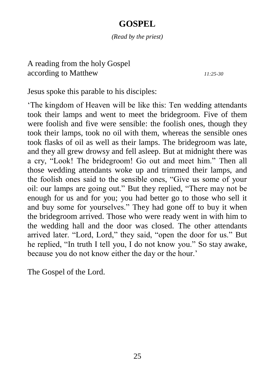*(Read by the priest)*

A reading from the holy Gospel according to Matthew *11:25-30*

Jesus spoke this parable to his disciples:

'The kingdom of Heaven will be like this: Ten wedding attendants took their lamps and went to meet the bridegroom. Five of them were foolish and five were sensible: the foolish ones, though they took their lamps, took no oil with them, whereas the sensible ones took flasks of oil as well as their lamps. The bridegroom was late, and they all grew drowsy and fell asleep. But at midnight there was a cry, "Look! The bridegroom! Go out and meet him." Then all those wedding attendants woke up and trimmed their lamps, and the foolish ones said to the sensible ones, "Give us some of your oil: our lamps are going out." But they replied, "There may not be enough for us and for you; you had better go to those who sell it and buy some for yourselves." They had gone off to buy it when the bridegroom arrived. Those who were ready went in with him to the wedding hall and the door was closed. The other attendants arrived later. "Lord, Lord," they said, "open the door for us." But he replied, "In truth I tell you, I do not know you." So stay awake, because you do not know either the day or the hour.'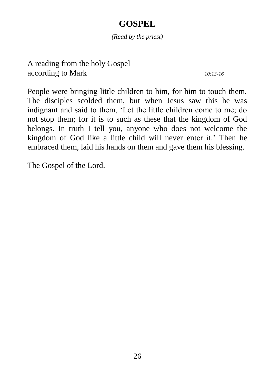*(Read by the priest)*

A reading from the holy Gospel according to Mark *10:13-16*

People were bringing little children to him, for him to touch them. The disciples scolded them, but when Jesus saw this he was indignant and said to them, 'Let the little children come to me; do not stop them; for it is to such as these that the kingdom of God belongs. In truth I tell you, anyone who does not welcome the kingdom of God like a little child will never enter it.' Then he embraced them, laid his hands on them and gave them his blessing.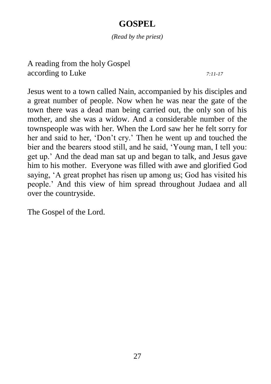#### *(Read by the priest)*

A reading from the holy Gospel according to Luke *7:11-17*

Jesus went to a town called Nain, accompanied by his disciples and a great number of people. Now when he was near the gate of the town there was a dead man being carried out, the only son of his mother, and she was a widow. And a considerable number of the townspeople was with her. When the Lord saw her he felt sorry for her and said to her, 'Don't cry.' Then he went up and touched the bier and the bearers stood still, and he said, 'Young man, I tell you: get up.' And the dead man sat up and began to talk, and Jesus gave him to his mother. Everyone was filled with awe and glorified God saying, 'A great prophet has risen up among us; God has visited his people.' And this view of him spread throughout Judaea and all over the countryside.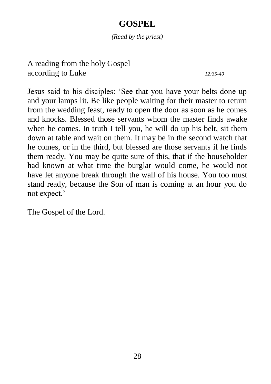*(Read by the priest)*

A reading from the holy Gospel according to Luke *12:35-40*

Jesus said to his disciples: 'See that you have your belts done up and your lamps lit. Be like people waiting for their master to return from the wedding feast, ready to open the door as soon as he comes and knocks. Blessed those servants whom the master finds awake when he comes. In truth I tell you, he will do up his belt, sit them down at table and wait on them. It may be in the second watch that he comes, or in the third, but blessed are those servants if he finds them ready. You may be quite sure of this, that if the householder had known at what time the burglar would come, he would not have let anyone break through the wall of his house. You too must stand ready, because the Son of man is coming at an hour you do not expect.'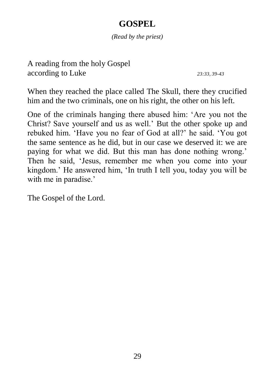*(Read by the priest)*

A reading from the holy Gospel according to Luke *23:33, 39-43*

When they reached the place called The Skull, there they crucified him and the two criminals, one on his right, the other on his left.

One of the criminals hanging there abused him: 'Are you not the Christ? Save yourself and us as well.' But the other spoke up and rebuked him. 'Have you no fear of God at all?' he said. 'You got the same sentence as he did, but in our case we deserved it: we are paying for what we did. But this man has done nothing wrong.' Then he said, 'Jesus, remember me when you come into your kingdom.' He answered him, 'In truth I tell you, today you will be with me in paradise.'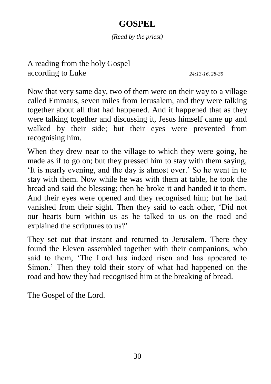*(Read by the priest)*

A reading from the holy Gospel according to Luke *24:13-16, 28-35*

Now that very same day, two of them were on their way to a village called Emmaus, seven miles from Jerusalem, and they were talking together about all that had happened. And it happened that as they were talking together and discussing it, Jesus himself came up and walked by their side; but their eyes were prevented from recognising him.

When they drew near to the village to which they were going, he made as if to go on; but they pressed him to stay with them saying, 'It is nearly evening, and the day is almost over.' So he went in to stay with them. Now while he was with them at table, he took the bread and said the blessing; then he broke it and handed it to them. And their eyes were opened and they recognised him; but he had vanished from their sight. Then they said to each other, 'Did not our hearts burn within us as he talked to us on the road and explained the scriptures to us?'

They set out that instant and returned to Jerusalem. There they found the Eleven assembled together with their companions, who said to them, 'The Lord has indeed risen and has appeared to Simon.' Then they told their story of what had happened on the road and how they had recognised him at the breaking of bread.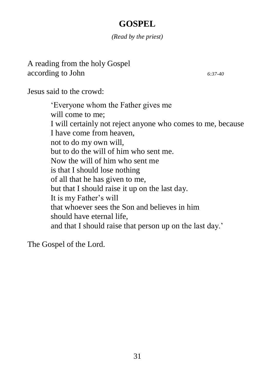*(Read by the priest)*

A reading from the holy Gospel according to John *6:37-40*

Jesus said to the crowd:

'Everyone whom the Father gives me will come to me; I will certainly not reject anyone who comes to me, because I have come from heaven, not to do my own will, but to do the will of him who sent me. Now the will of him who sent me is that I should lose nothing of all that he has given to me, but that I should raise it up on the last day. It is my Father's will that whoever sees the Son and believes in him should have eternal life, and that I should raise that person up on the last day.'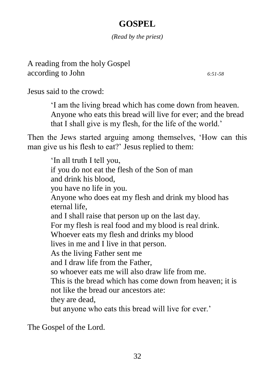*(Read by the priest)*

A reading from the holy Gospel according to John *6:51-58*

Jesus said to the crowd:

'I am the living bread which has come down from heaven. Anyone who eats this bread will live for ever; and the bread that I shall give is my flesh, for the life of the world.'

Then the Jews started arguing among themselves, 'How can this man give us his flesh to eat?' Jesus replied to them:

> 'In all truth I tell you, if you do not eat the flesh of the Son of man and drink his blood, you have no life in you. Anyone who does eat my flesh and drink my blood has eternal life, and I shall raise that person up on the last day. For my flesh is real food and my blood is real drink. Whoever eats my flesh and drinks my blood lives in me and I live in that person. As the living Father sent me and I draw life from the Father, so whoever eats me will also draw life from me. This is the bread which has come down from heaven; it is not like the bread our ancestors ate: they are dead, but anyone who eats this bread will live for ever.'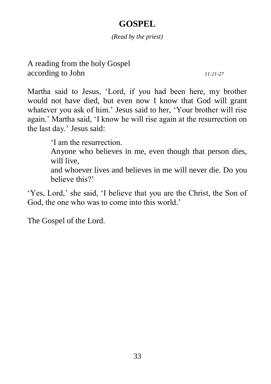*(Read by the priest)*

A reading from the holy Gospel according to John *11:21-27*

Martha said to Jesus, 'Lord, if you had been here, my brother would not have died, but even now I know that God will grant whatever you ask of him.' Jesus said to her, 'Your brother will rise again.' Martha said, 'I know he will rise again at the resurrection on the last day.' Jesus said:

'I am the resurrection. Anyone who believes in me, even though that person dies, will live,

and whoever lives and believes in me will never die. Do you believe this?'

'Yes, Lord,' she said, 'I believe that you are the Christ, the Son of God, the one who was to come into this world.'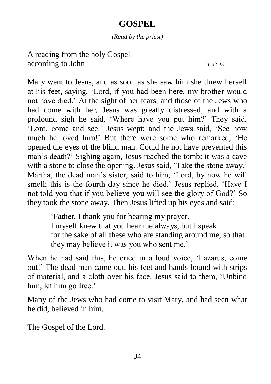#### *(Read by the priest)*

A reading from the holy Gospel according to John *11:32-45*

Mary went to Jesus, and as soon as she saw him she threw herself at his feet, saying, 'Lord, if you had been here, my brother would not have died.' At the sight of her tears, and those of the Jews who had come with her, Jesus was greatly distressed, and with a profound sigh he said, 'Where have you put him?' They said, 'Lord, come and see.' Jesus wept; and the Jews said, 'See how much he loved him!' But there were some who remarked, 'He opened the eyes of the blind man. Could he not have prevented this man's death?' Sighing again, Jesus reached the tomb: it was a cave with a stone to close the opening. Jesus said, 'Take the stone away.' Martha, the dead man's sister, said to him, 'Lord, by now he will smell; this is the fourth day since he died.' Jesus replied, 'Have I not told you that if you believe you will see the glory of God?' So they took the stone away. Then Jesus lifted up his eyes and said:

> 'Father, I thank you for hearing my prayer. I myself knew that you hear me always, but I speak for the sake of all these who are standing around me, so that they may believe it was you who sent me.'

When he had said this, he cried in a loud voice, 'Lazarus, come out!' The dead man came out, his feet and hands bound with strips of material, and a cloth over his face. Jesus said to them, 'Unbind him, let him go free.'

Many of the Jews who had come to visit Mary, and had seen what he did, believed in him.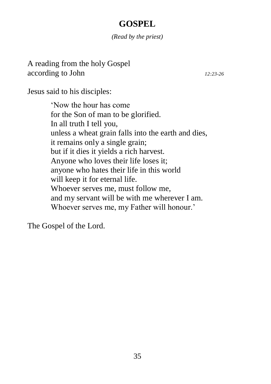*(Read by the priest)*

A reading from the holy Gospel according to John *12:23-26*

Jesus said to his disciples:

'Now the hour has come for the Son of man to be glorified. In all truth I tell you, unless a wheat grain falls into the earth and dies, it remains only a single grain; but if it dies it yields a rich harvest. Anyone who loves their life loses it; anyone who hates their life in this world will keep it for eternal life. Whoever serves me, must follow me, and my servant will be with me wherever I am. Whoever serves me, my Father will honour.'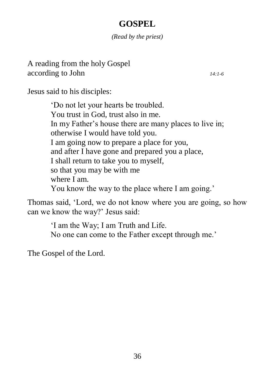*(Read by the priest)*

A reading from the holy Gospel according to John *14:1-6*

Jesus said to his disciples:

'Do not let your hearts be troubled. You trust in God, trust also in me. In my Father's house there are many places to live in; otherwise I would have told you. I am going now to prepare a place for you, and after I have gone and prepared you a place, I shall return to take you to myself, so that you may be with me where I am. You know the way to the place where I am going.'

Thomas said, 'Lord, we do not know where you are going, so how can we know the way?' Jesus said:

> 'I am the Way; I am Truth and Life. No one can come to the Father except through me.'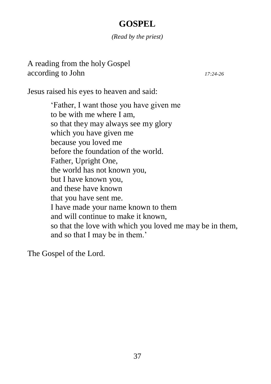*(Read by the priest)*

A reading from the holy Gospel according to John *17:24-26*

Jesus raised his eyes to heaven and said:

'Father, I want those you have given me to be with me where I am, so that they may always see my glory which you have given me because you loved me before the foundation of the world. Father, Upright One, the world has not known you, but I have known you, and these have known that you have sent me. I have made your name known to them and will continue to make it known, so that the love with which you loved me may be in them, and so that I may be in them.'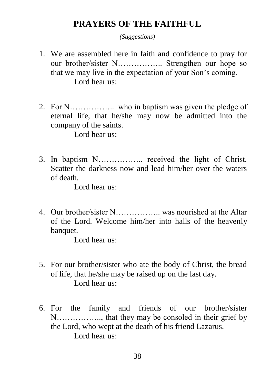### **PRAYERS OF THE FAITHFUL**

*(Suggestions)*

- 1. We are assembled here in faith and confidence to pray for our brother/sister N…………….. Strengthen our hope so that we may live in the expectation of your Son's coming. Lord hear us:
- 2. For N…………….. who in baptism was given the pledge of eternal life, that he/she may now be admitted into the company of the saints. Lord hear us:
- 3. In baptism N…………….. received the light of Christ. Scatter the darkness now and lead him/her over the waters of death.

Lord hear us:

4. Our brother/sister N…………….. was nourished at the Altar of the Lord. Welcome him/her into halls of the heavenly banquet.

Lord hear us:

- 5. For our brother/sister who ate the body of Christ, the bread of life, that he/she may be raised up on the last day. Lord hear us:
- 6. For the family and friends of our brother/sister N…………….., that they may be consoled in their grief by the Lord, who wept at the death of his friend Lazarus. Lord hear us: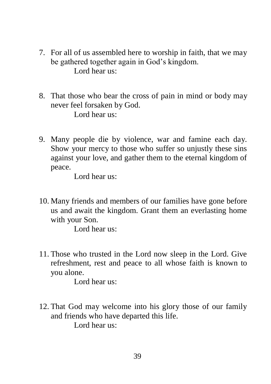- 7. For all of us assembled here to worship in faith, that we may be gathered together again in God's kingdom. Lord hear us:
- 8. That those who bear the cross of pain in mind or body may never feel forsaken by God. Lord hear us:
- 9. Many people die by violence, war and famine each day. Show your mercy to those who suffer so unjustly these sins against your love, and gather them to the eternal kingdom of peace.

Lord hear us:

10. Many friends and members of our families have gone before us and await the kingdom. Grant them an everlasting home with your Son.

Lord hear us:

11. Those who trusted in the Lord now sleep in the Lord. Give refreshment, rest and peace to all whose faith is known to you alone.

Lord hear us:

12. That God may welcome into his glory those of our family and friends who have departed this life. Lord hear us: